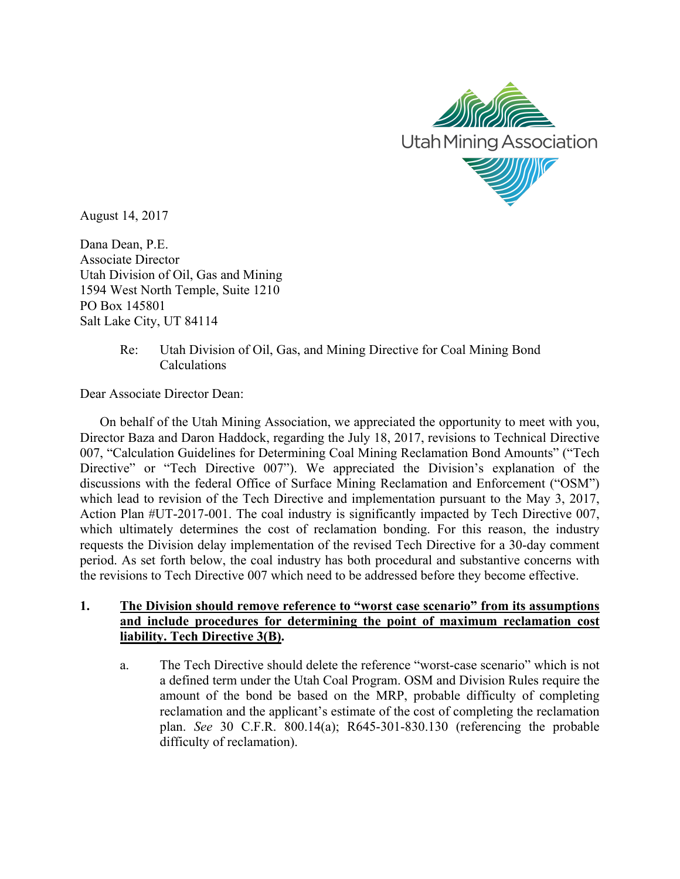

August 14, 2017

Dana Dean, P.E. Associate Director Utah Division of Oil, Gas and Mining 1594 West North Temple, Suite 1210 PO Box 145801 Salt Lake City, UT 84114

# Re: Utah Division of Oil, Gas, and Mining Directive for Coal Mining Bond Calculations

Dear Associate Director Dean:

On behalf of the Utah Mining Association, we appreciated the opportunity to meet with you, Director Baza and Daron Haddock, regarding the July 18, 2017, revisions to Technical Directive 007, "Calculation Guidelines for Determining Coal Mining Reclamation Bond Amounts" ("Tech Directive" or "Tech Directive 007"). We appreciated the Division's explanation of the discussions with the federal Office of Surface Mining Reclamation and Enforcement ("OSM") which lead to revision of the Tech Directive and implementation pursuant to the May 3, 2017, Action Plan #UT-2017-001. The coal industry is significantly impacted by Tech Directive 007, which ultimately determines the cost of reclamation bonding. For this reason, the industry requests the Division delay implementation of the revised Tech Directive for a 30-day comment period. As set forth below, the coal industry has both procedural and substantive concerns with the revisions to Tech Directive 007 which need to be addressed before they become effective.

# **1. The Division should remove reference to "worst case scenario" from its assumptions and include procedures for determining the point of maximum reclamation cost liability. Tech Directive 3(B).**

a. The Tech Directive should delete the reference "worst-case scenario" which is not a defined term under the Utah Coal Program. OSM and Division Rules require the amount of the bond be based on the MRP, probable difficulty of completing reclamation and the applicant's estimate of the cost of completing the reclamation plan. *See* 30 C.F.R. 800.14(a); R645-301-830.130 (referencing the probable difficulty of reclamation).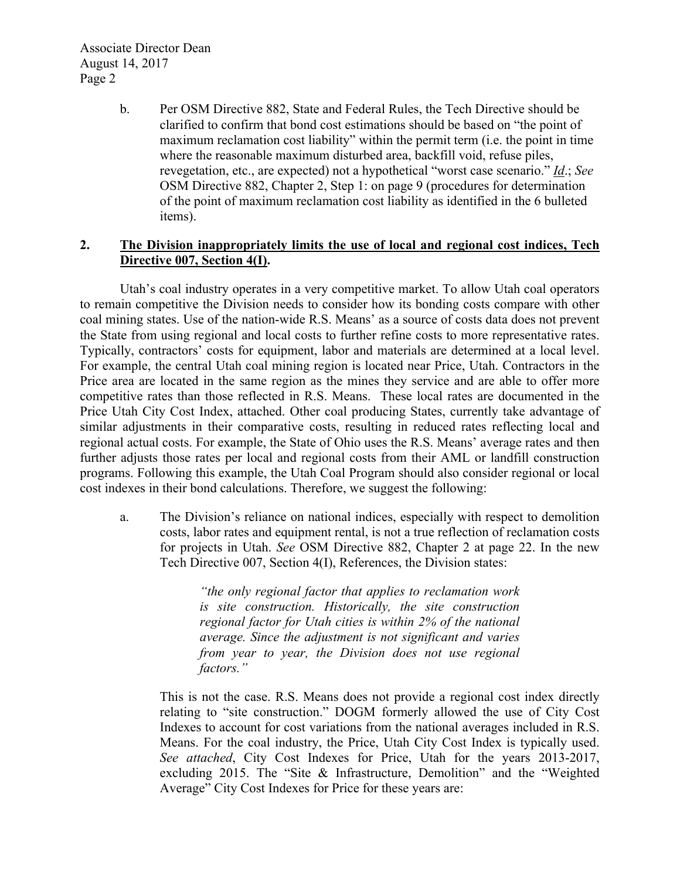Associate Director Dean August 14, 2017 Page 2

> b. Per OSM Directive 882, State and Federal Rules, the Tech Directive should be clarified to confirm that bond cost estimations should be based on "the point of maximum reclamation cost liability" within the permit term (i.e. the point in time where the reasonable maximum disturbed area, backfill void, refuse piles, revegetation, etc., are expected) not a hypothetical "worst case scenario." *Id*.; *See* OSM Directive 882, Chapter 2, Step 1: on page 9 (procedures for determination of the point of maximum reclamation cost liability as identified in the 6 bulleted items).

## **2. The Division inappropriately limits the use of local and regional cost indices, Tech Directive 007, Section 4(I).**

Utah's coal industry operates in a very competitive market. To allow Utah coal operators to remain competitive the Division needs to consider how its bonding costs compare with other coal mining states. Use of the nation-wide R.S. Means' as a source of costs data does not prevent the State from using regional and local costs to further refine costs to more representative rates. Typically, contractors' costs for equipment, labor and materials are determined at a local level. For example, the central Utah coal mining region is located near Price, Utah. Contractors in the Price area are located in the same region as the mines they service and are able to offer more competitive rates than those reflected in R.S. Means. These local rates are documented in the Price Utah City Cost Index, attached. Other coal producing States, currently take advantage of similar adjustments in their comparative costs, resulting in reduced rates reflecting local and regional actual costs. For example, the State of Ohio uses the R.S. Means' average rates and then further adjusts those rates per local and regional costs from their AML or landfill construction programs. Following this example, the Utah Coal Program should also consider regional or local cost indexes in their bond calculations. Therefore, we suggest the following:

a. The Division's reliance on national indices, especially with respect to demolition costs, labor rates and equipment rental, is not a true reflection of reclamation costs for projects in Utah. *See* OSM Directive 882, Chapter 2 at page 22. In the new Tech Directive 007, Section 4(I), References, the Division states:

> *"the only regional factor that applies to reclamation work is site construction. Historically, the site construction regional factor for Utah cities is within 2% of the national average. Since the adjustment is not significant and varies from year to year, the Division does not use regional factors."*

This is not the case. R.S. Means does not provide a regional cost index directly relating to "site construction." DOGM formerly allowed the use of City Cost Indexes to account for cost variations from the national averages included in R.S. Means. For the coal industry, the Price, Utah City Cost Index is typically used. *See attached*, City Cost Indexes for Price, Utah for the years 2013-2017, excluding 2015. The "Site & Infrastructure, Demolition" and the "Weighted Average" City Cost Indexes for Price for these years are: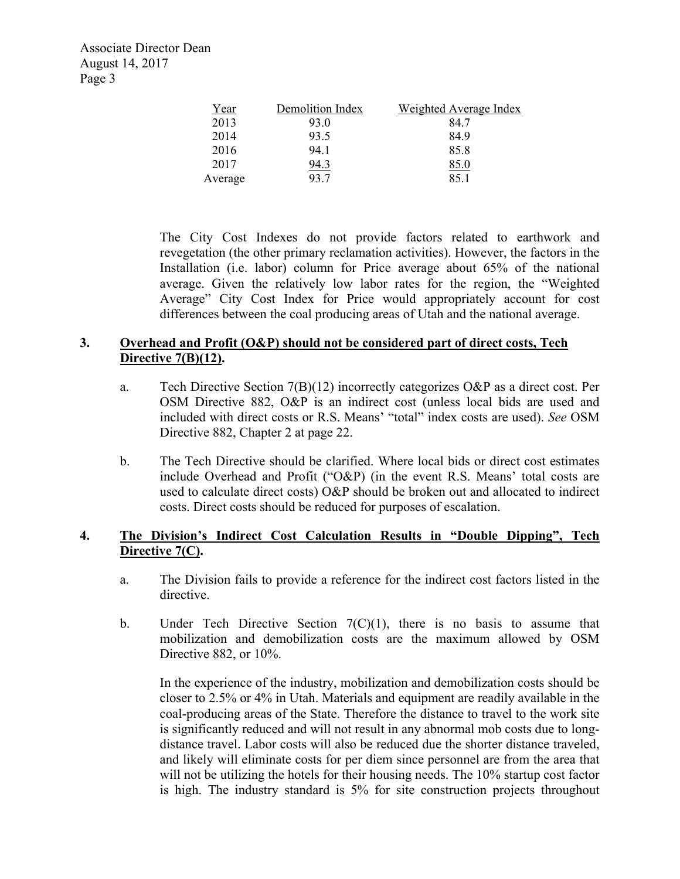Associate Director Dean August 14, 2017 Page 3

| Year    | Demolition Index | Weighted Average Index |
|---------|------------------|------------------------|
| 2013    | 93.0             | 84 7                   |
| 2014    | 93.5             | 849                    |
| 2016    | 94 1             | 858                    |
| 2017    | 94.3             | 85.0                   |
| Average | 93.7             | 851                    |

The City Cost Indexes do not provide factors related to earthwork and revegetation (the other primary reclamation activities). However, the factors in the Installation (i.e. labor) column for Price average about 65% of the national average. Given the relatively low labor rates for the region, the "Weighted Average" City Cost Index for Price would appropriately account for cost differences between the coal producing areas of Utah and the national average.

# **3. Overhead and Profit (O&P) should not be considered part of direct costs, Tech Directive 7(B)(12).**

- a. Tech Directive Section 7(B)(12) incorrectly categorizes O&P as a direct cost. Per OSM Directive 882, O&P is an indirect cost (unless local bids are used and included with direct costs or R.S. Means' "total" index costs are used). *See* OSM Directive 882, Chapter 2 at page 22.
- b. The Tech Directive should be clarified. Where local bids or direct cost estimates include Overhead and Profit ("O&P) (in the event R.S. Means' total costs are used to calculate direct costs) O&P should be broken out and allocated to indirect costs. Direct costs should be reduced for purposes of escalation.

## **4. The Division's Indirect Cost Calculation Results in "Double Dipping", Tech Directive 7(C).**

- a. The Division fails to provide a reference for the indirect cost factors listed in the directive.
- b. Under Tech Directive Section  $7(C)(1)$ , there is no basis to assume that mobilization and demobilization costs are the maximum allowed by OSM Directive 882, or 10%.

In the experience of the industry, mobilization and demobilization costs should be closer to 2.5% or 4% in Utah. Materials and equipment are readily available in the coal-producing areas of the State. Therefore the distance to travel to the work site is significantly reduced and will not result in any abnormal mob costs due to longdistance travel. Labor costs will also be reduced due the shorter distance traveled, and likely will eliminate costs for per diem since personnel are from the area that will not be utilizing the hotels for their housing needs. The 10% startup cost factor is high. The industry standard is 5% for site construction projects throughout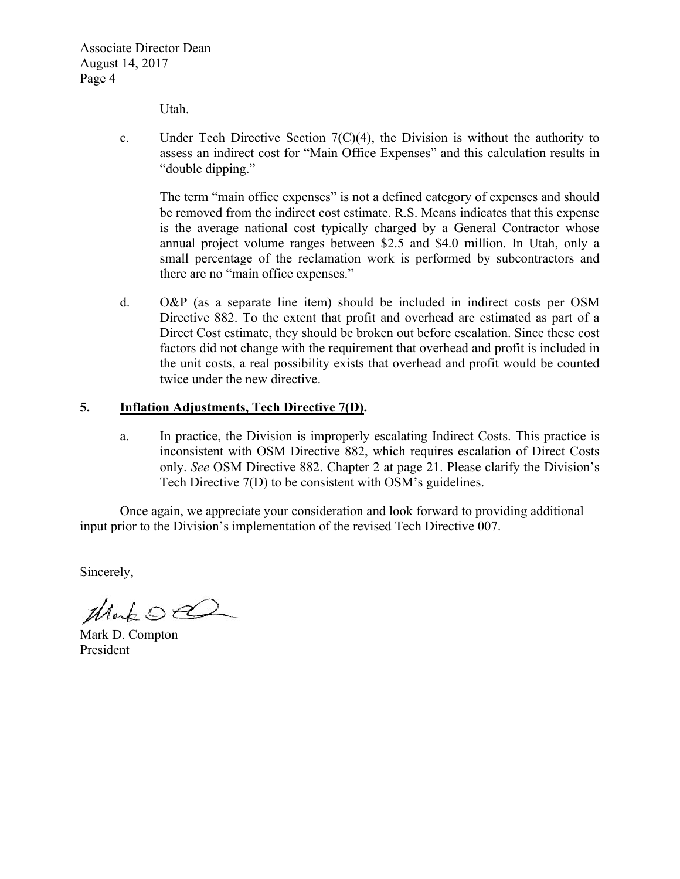Utah.

c. Under Tech Directive Section  $7(C)(4)$ , the Division is without the authority to assess an indirect cost for "Main Office Expenses" and this calculation results in "double dipping."

The term "main office expenses" is not a defined category of expenses and should be removed from the indirect cost estimate. R.S. Means indicates that this expense is the average national cost typically charged by a General Contractor whose annual project volume ranges between \$2.5 and \$4.0 million. In Utah, only a small percentage of the reclamation work is performed by subcontractors and there are no "main office expenses."

d. O&P (as a separate line item) should be included in indirect costs per OSM Directive 882. To the extent that profit and overhead are estimated as part of a Direct Cost estimate, they should be broken out before escalation. Since these cost factors did not change with the requirement that overhead and profit is included in the unit costs, a real possibility exists that overhead and profit would be counted twice under the new directive.

## **5. Inflation Adjustments, Tech Directive 7(D).**

a. In practice, the Division is improperly escalating Indirect Costs. This practice is inconsistent with OSM Directive 882, which requires escalation of Direct Costs only. *See* OSM Directive 882. Chapter 2 at page 21. Please clarify the Division's Tech Directive 7(D) to be consistent with OSM's guidelines.

Once again, we appreciate your consideration and look forward to providing additional input prior to the Division's implementation of the revised Tech Directive 007.

Sincerely,

Mako

Mark D. Compton President